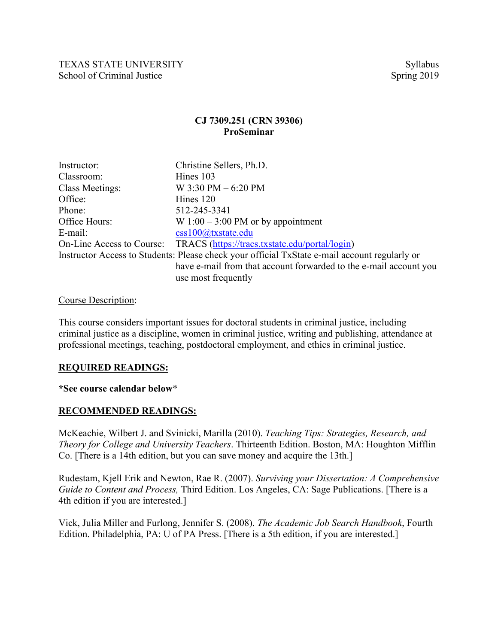## **CJ 7309.251 (CRN 39306) ProSeminar**

| Instructor:            | Christine Sellers, Ph.D.                                                                      |
|------------------------|-----------------------------------------------------------------------------------------------|
| Classroom:             | Hines 103                                                                                     |
| <b>Class Meetings:</b> | W $3:30$ PM $-6:20$ PM                                                                        |
| Office:                | Hines 120                                                                                     |
| Phone:                 | 512-245-3341                                                                                  |
| Office Hours:          | W $1:00 - 3:00 \text{ PM}$ or by appointment                                                  |
| E-mail:                | $\cos 100$ @txstate.edu                                                                       |
|                        | On-Line Access to Course: TRACS (https://tracs.txstate.edu/portal/login)                      |
|                        | Instructor Access to Students: Please check your official TxState e-mail account regularly or |
|                        | have e-mail from that account forwarded to the e-mail account you                             |
|                        | use most frequently                                                                           |

#### Course Description:

This course considers important issues for doctoral students in criminal justice, including criminal justice as a discipline, women in criminal justice, writing and publishing, attendance at professional meetings, teaching, postdoctoral employment, and ethics in criminal justice.

#### **REQUIRED READINGS:**

#### **\*See course calendar below**\*

#### **RECOMMENDED READINGS:**

McKeachie, Wilbert J. and Svinicki, Marilla (2010). *Teaching Tips: Strategies, Research, and Theory for College and University Teachers*. Thirteenth Edition. Boston, MA: Houghton Mifflin Co. [There is a 14th edition, but you can save money and acquire the 13th.]

Rudestam, Kjell Erik and Newton, Rae R. (2007). *Surviving your Dissertation: A Comprehensive Guide to Content and Process,* Third Edition. Los Angeles, CA: Sage Publications. [There is a 4th edition if you are interested.]

Vick, Julia Miller and Furlong, Jennifer S. (2008). *The Academic Job Search Handbook*, Fourth Edition. Philadelphia, PA: U of PA Press. [There is a 5th edition, if you are interested.]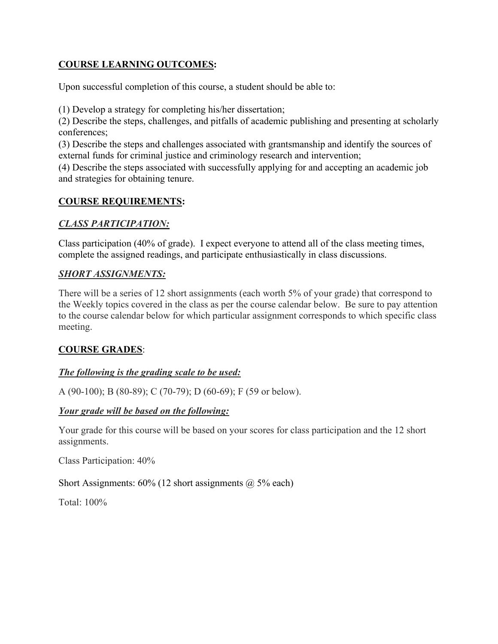## **COURSE LEARNING OUTCOMES:**

Upon successful completion of this course, a student should be able to:

(1) Develop a strategy for completing his/her dissertation;

(2) Describe the steps, challenges, and pitfalls of academic publishing and presenting at scholarly conferences;

(3) Describe the steps and challenges associated with grantsmanship and identify the sources of external funds for criminal justice and criminology research and intervention;

(4) Describe the steps associated with successfully applying for and accepting an academic job and strategies for obtaining tenure.

## **COURSE REQUIREMENTS:**

## *CLASS PARTICIPATION:*

Class participation (40% of grade). I expect everyone to attend all of the class meeting times, complete the assigned readings, and participate enthusiastically in class discussions.

## *SHORT ASSIGNMENTS:*

There will be a series of 12 short assignments (each worth 5% of your grade) that correspond to the Weekly topics covered in the class as per the course calendar below. Be sure to pay attention to the course calendar below for which particular assignment corresponds to which specific class meeting.

## **COURSE GRADES**:

## *The following is the grading scale to be used:*

A (90-100); B (80-89); C (70-79); D (60-69); F (59 or below).

## *Your grade will be based on the following:*

Your grade for this course will be based on your scores for class participation and the 12 short assignments.

Class Participation: 40%

Short Assignments:  $60\%$  (12 short assignments  $\omega$  5% each)

Total: 100%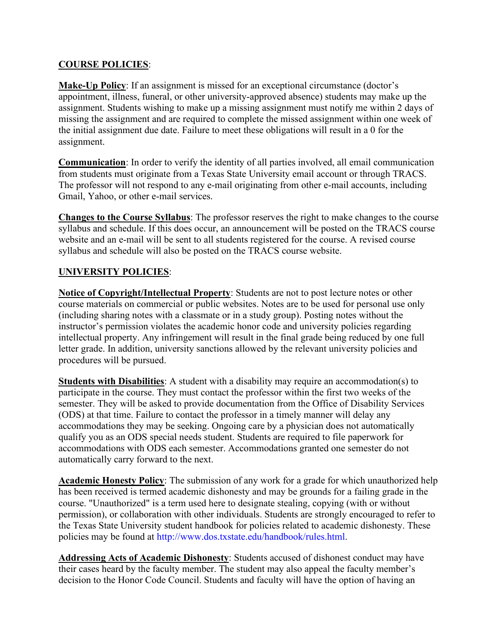## **COURSE POLICIES**:

**Make-Up Policy**: If an assignment is missed for an exceptional circumstance (doctor's appointment, illness, funeral, or other university-approved absence) students may make up the assignment. Students wishing to make up a missing assignment must notify me within 2 days of missing the assignment and are required to complete the missed assignment within one week of the initial assignment due date. Failure to meet these obligations will result in a 0 for the assignment.

**Communication**: In order to verify the identity of all parties involved, all email communication from students must originate from a Texas State University email account or through TRACS. The professor will not respond to any e-mail originating from other e-mail accounts, including Gmail, Yahoo, or other e-mail services.

**Changes to the Course Syllabus**: The professor reserves the right to make changes to the course syllabus and schedule. If this does occur, an announcement will be posted on the TRACS course website and an e-mail will be sent to all students registered for the course. A revised course syllabus and schedule will also be posted on the TRACS course website.

# **UNIVERSITY POLICIES**:

**Notice of Copyright/Intellectual Property**: Students are not to post lecture notes or other course materials on commercial or public websites. Notes are to be used for personal use only (including sharing notes with a classmate or in a study group). Posting notes without the instructor's permission violates the academic honor code and university policies regarding intellectual property. Any infringement will result in the final grade being reduced by one full letter grade. In addition, university sanctions allowed by the relevant university policies and procedures will be pursued.

**Students with Disabilities**: A student with a disability may require an accommodation(s) to participate in the course. They must contact the professor within the first two weeks of the semester. They will be asked to provide documentation from the Office of Disability Services (ODS) at that time. Failure to contact the professor in a timely manner will delay any accommodations they may be seeking. Ongoing care by a physician does not automatically qualify you as an ODS special needs student. Students are required to file paperwork for accommodations with ODS each semester. Accommodations granted one semester do not automatically carry forward to the next.

**Academic Honesty Policy**: The submission of any work for a grade for which unauthorized help has been received is termed academic dishonesty and may be grounds for a failing grade in the course. "Unauthorized" is a term used here to designate stealing, copying (with or without permission), or collaboration with other individuals. Students are strongly encouraged to refer to the Texas State University student handbook for policies related to academic dishonesty. These policies may be found at http://www.dos.txstate.edu/handbook/rules.html.

**Addressing Acts of Academic Dishonesty**: Students accused of dishonest conduct may have their cases heard by the faculty member. The student may also appeal the faculty member's decision to the Honor Code Council. Students and faculty will have the option of having an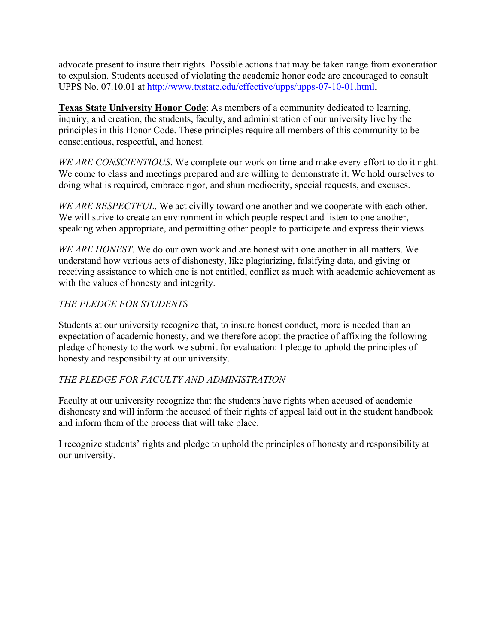advocate present to insure their rights. Possible actions that may be taken range from exoneration to expulsion. Students accused of violating the academic honor code are encouraged to consult UPPS No. 07.10.01 at http://www.txstate.edu/effective/upps/upps-07-10-01.html.

**Texas State University Honor Code**: As members of a community dedicated to learning, inquiry, and creation, the students, faculty, and administration of our university live by the principles in this Honor Code. These principles require all members of this community to be conscientious, respectful, and honest.

*WE ARE CONSCIENTIOUS*. We complete our work on time and make every effort to do it right. We come to class and meetings prepared and are willing to demonstrate it. We hold ourselves to doing what is required, embrace rigor, and shun mediocrity, special requests, and excuses.

*WE ARE RESPECTFUL*. We act civilly toward one another and we cooperate with each other. We will strive to create an environment in which people respect and listen to one another, speaking when appropriate, and permitting other people to participate and express their views.

*WE ARE HONEST*. We do our own work and are honest with one another in all matters. We understand how various acts of dishonesty, like plagiarizing, falsifying data, and giving or receiving assistance to which one is not entitled, conflict as much with academic achievement as with the values of honesty and integrity.

## *THE PLEDGE FOR STUDENTS*

Students at our university recognize that, to insure honest conduct, more is needed than an expectation of academic honesty, and we therefore adopt the practice of affixing the following pledge of honesty to the work we submit for evaluation: I pledge to uphold the principles of honesty and responsibility at our university.

## *THE PLEDGE FOR FACULTY AND ADMINISTRATION*

Faculty at our university recognize that the students have rights when accused of academic dishonesty and will inform the accused of their rights of appeal laid out in the student handbook and inform them of the process that will take place.

I recognize students' rights and pledge to uphold the principles of honesty and responsibility at our university.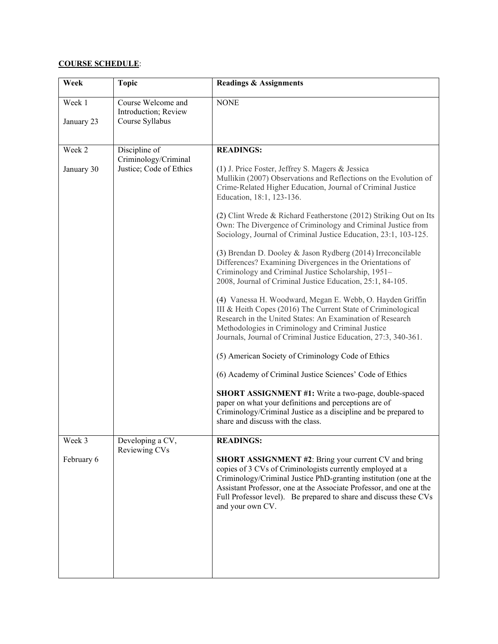#### **COURSE SCHEDULE**:

| Week                 | <b>Topic</b>                                                     | <b>Readings &amp; Assignments</b>                                                                                                                                                                                                                                                                                                                                                                                                                                                                                                                                                                                                                                                                                                                                                                                                                                                                                                                                                                                                                                                                                                                                                                                                                                                                                      |
|----------------------|------------------------------------------------------------------|------------------------------------------------------------------------------------------------------------------------------------------------------------------------------------------------------------------------------------------------------------------------------------------------------------------------------------------------------------------------------------------------------------------------------------------------------------------------------------------------------------------------------------------------------------------------------------------------------------------------------------------------------------------------------------------------------------------------------------------------------------------------------------------------------------------------------------------------------------------------------------------------------------------------------------------------------------------------------------------------------------------------------------------------------------------------------------------------------------------------------------------------------------------------------------------------------------------------------------------------------------------------------------------------------------------------|
| Week 1<br>January 23 | Course Welcome and<br>Introduction; Review<br>Course Syllabus    | <b>NONE</b>                                                                                                                                                                                                                                                                                                                                                                                                                                                                                                                                                                                                                                                                                                                                                                                                                                                                                                                                                                                                                                                                                                                                                                                                                                                                                                            |
|                      |                                                                  |                                                                                                                                                                                                                                                                                                                                                                                                                                                                                                                                                                                                                                                                                                                                                                                                                                                                                                                                                                                                                                                                                                                                                                                                                                                                                                                        |
| Week 2<br>January 30 | Discipline of<br>Criminology/Criminal<br>Justice; Code of Ethics | <b>READINGS:</b><br>(1) J. Price Foster, Jeffrey S. Magers & Jessica<br>Mullikin (2007) Observations and Reflections on the Evolution of<br>Crime-Related Higher Education, Journal of Criminal Justice<br>Education, 18:1, 123-136.<br>(2) Clint Wrede & Richard Featherstone (2012) Striking Out on Its<br>Own: The Divergence of Criminology and Criminal Justice from<br>Sociology, Journal of Criminal Justice Education, 23:1, 103-125.<br>(3) Brendan D. Dooley & Jason Rydberg (2014) Irreconcilable<br>Differences? Examining Divergences in the Orientations of<br>Criminology and Criminal Justice Scholarship, 1951-<br>2008, Journal of Criminal Justice Education, 25:1, 84-105.<br>(4) Vanessa H. Woodward, Megan E. Webb, O. Hayden Griffin<br>III & Heith Copes (2016) The Current State of Criminological<br>Research in the United States: An Examination of Research<br>Methodologies in Criminology and Criminal Justice<br>Journals, Journal of Criminal Justice Education, 27:3, 340-361.<br>(5) American Society of Criminology Code of Ethics<br>(6) Academy of Criminal Justice Sciences' Code of Ethics<br>SHORT ASSIGNMENT #1: Write a two-page, double-spaced<br>paper on what your definitions and perceptions are of<br>Criminology/Criminal Justice as a discipline and be prepared to |
|                      |                                                                  | share and discuss with the class.                                                                                                                                                                                                                                                                                                                                                                                                                                                                                                                                                                                                                                                                                                                                                                                                                                                                                                                                                                                                                                                                                                                                                                                                                                                                                      |
| Week 3<br>February 6 | Developing a CV,<br>Reviewing CVs                                | <b>READINGS:</b><br>SHORT ASSIGNMENT #2: Bring your current CV and bring<br>copies of 3 CVs of Criminologists currently employed at a<br>Criminology/Criminal Justice PhD-granting institution (one at the<br>Assistant Professor, one at the Associate Professor, and one at the<br>Full Professor level). Be prepared to share and discuss these CVs<br>and your own CV.                                                                                                                                                                                                                                                                                                                                                                                                                                                                                                                                                                                                                                                                                                                                                                                                                                                                                                                                             |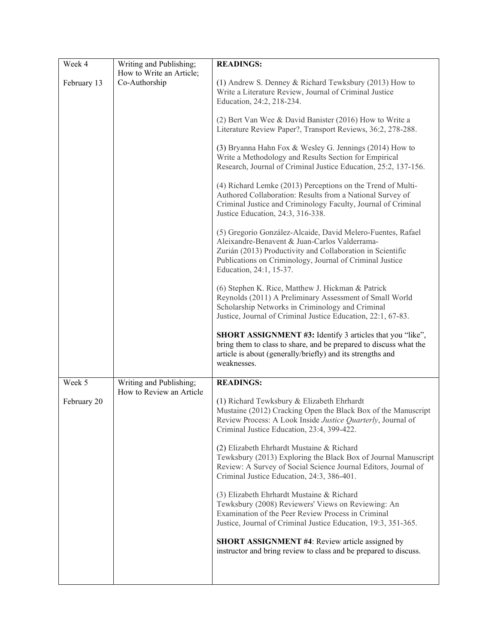| Week 4      | Writing and Publishing;  | <b>READINGS:</b>                                                                                                                                                                                                                                                  |
|-------------|--------------------------|-------------------------------------------------------------------------------------------------------------------------------------------------------------------------------------------------------------------------------------------------------------------|
|             | How to Write an Article; |                                                                                                                                                                                                                                                                   |
| February 13 | Co-Authorship            | (1) Andrew S. Denney & Richard Tewksbury (2013) How to<br>Write a Literature Review, Journal of Criminal Justice<br>Education, 24:2, 218-234.                                                                                                                     |
|             |                          | (2) Bert Van Wee & David Banister (2016) How to Write a<br>Literature Review Paper?, Transport Reviews, 36:2, 278-288.                                                                                                                                            |
|             |                          | (3) Bryanna Hahn Fox & Wesley G. Jennings (2014) How to<br>Write a Methodology and Results Section for Empirical<br>Research, Journal of Criminal Justice Education, 25:2, 137-156.                                                                               |
|             |                          | (4) Richard Lemke (2013) Perceptions on the Trend of Multi-<br>Authored Collaboration: Results from a National Survey of<br>Criminal Justice and Criminology Faculty, Journal of Criminal<br>Justice Education, 24:3, 316-338.                                    |
|             |                          | (5) Gregorio González-Alcaide, David Melero-Fuentes, Rafael<br>Aleixandre-Benavent & Juan-Carlos Valderrama-<br>Zurián (2013) Productivity and Collaboration in Scientific<br>Publications on Criminology, Journal of Criminal Justice<br>Education, 24:1, 15-37. |
|             |                          | (6) Stephen K. Rice, Matthew J. Hickman & Patrick<br>Reynolds (2011) A Preliminary Assessment of Small World<br>Scholarship Networks in Criminology and Criminal<br>Justice, Journal of Criminal Justice Education, 22:1, 67-83.                                  |
|             |                          | SHORT ASSIGNMENT #3: Identify 3 articles that you "like",<br>bring them to class to share, and be prepared to discuss what the<br>article is about (generally/briefly) and its strengths and<br>weaknesses.                                                       |
| Week 5      | Writing and Publishing;  | <b>READINGS:</b>                                                                                                                                                                                                                                                  |
| February 20 | How to Review an Article | (1) Richard Tewksbury & Elizabeth Ehrhardt<br>Mustaine (2012) Cracking Open the Black Box of the Manuscript<br>Review Process: A Look Inside Justice Quarterly, Journal of<br>Criminal Justice Education, 23:4, 399-422.                                          |
|             |                          | (2) Elizabeth Ehrhardt Mustaine & Richard<br>Tewksbury (2013) Exploring the Black Box of Journal Manuscript<br>Review: A Survey of Social Science Journal Editors, Journal of<br>Criminal Justice Education, 24:3, 386-401.                                       |
|             |                          | (3) Elizabeth Ehrhardt Mustaine & Richard<br>Tewksbury (2008) Reviewers' Views on Reviewing: An<br>Examination of the Peer Review Process in Criminal<br>Justice, Journal of Criminal Justice Education, 19:3, 351-365.                                           |
|             |                          | <b>SHORT ASSIGNMENT #4: Review article assigned by</b><br>instructor and bring review to class and be prepared to discuss.                                                                                                                                        |
|             |                          |                                                                                                                                                                                                                                                                   |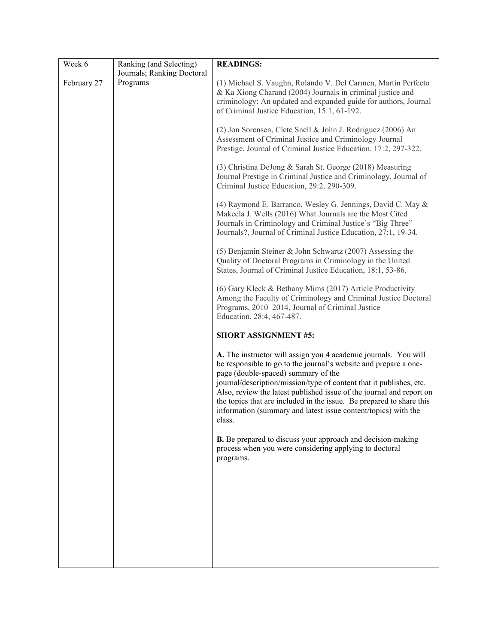| Week 6      | Ranking (and Selecting)    | <b>READINGS:</b>                                                                                                                                                                                                                                                                                                                                                                                                                                                              |
|-------------|----------------------------|-------------------------------------------------------------------------------------------------------------------------------------------------------------------------------------------------------------------------------------------------------------------------------------------------------------------------------------------------------------------------------------------------------------------------------------------------------------------------------|
|             | Journals; Ranking Doctoral |                                                                                                                                                                                                                                                                                                                                                                                                                                                                               |
| February 27 | Programs                   | (1) Michael S. Vaughn, Rolando V. Del Carmen, Martin Perfecto<br>& Ka Xiong Charand (2004) Journals in criminal justice and<br>criminology: An updated and expanded guide for authors, Journal<br>of Criminal Justice Education, 15:1, 61-192.                                                                                                                                                                                                                                |
|             |                            | (2) Jon Sorensen, Clete Snell & John J. Rodriguez (2006) An<br>Assessment of Criminal Justice and Criminology Journal<br>Prestige, Journal of Criminal Justice Education, 17:2, 297-322.                                                                                                                                                                                                                                                                                      |
|             |                            | (3) Christina DeJong & Sarah St. George (2018) Measuring<br>Journal Prestige in Criminal Justice and Criminology, Journal of<br>Criminal Justice Education, 29:2, 290-309.                                                                                                                                                                                                                                                                                                    |
|             |                            | (4) Raymond E. Barranco, Wesley G. Jennings, David C. May &<br>Makeela J. Wells (2016) What Journals are the Most Cited<br>Journals in Criminology and Criminal Justice's "Big Three"<br>Journals?, Journal of Criminal Justice Education, 27:1, 19-34.                                                                                                                                                                                                                       |
|             |                            | (5) Benjamin Steiner & John Schwartz (2007) Assessing the<br>Quality of Doctoral Programs in Criminology in the United<br>States, Journal of Criminal Justice Education, 18:1, 53-86.                                                                                                                                                                                                                                                                                         |
|             |                            | (6) Gary Kleck & Bethany Mims (2017) Article Productivity<br>Among the Faculty of Criminology and Criminal Justice Doctoral<br>Programs, 2010–2014, Journal of Criminal Justice<br>Education, 28:4, 467-487.                                                                                                                                                                                                                                                                  |
|             |                            | <b>SHORT ASSIGNMENT #5:</b>                                                                                                                                                                                                                                                                                                                                                                                                                                                   |
|             |                            | A. The instructor will assign you 4 academic journals. You will<br>be responsible to go to the journal's website and prepare a one-<br>page (double-spaced) summary of the<br>journal/description/mission/type of content that it publishes, etc.<br>Also, review the latest published issue of the journal and report on<br>the topics that are included in the issue. Be prepared to share this<br>information (summary and latest issue content/topics) with the<br>class. |
|             |                            | <b>B.</b> Be prepared to discuss your approach and decision-making<br>process when you were considering applying to doctoral<br>programs.                                                                                                                                                                                                                                                                                                                                     |
|             |                            |                                                                                                                                                                                                                                                                                                                                                                                                                                                                               |
|             |                            |                                                                                                                                                                                                                                                                                                                                                                                                                                                                               |
|             |                            |                                                                                                                                                                                                                                                                                                                                                                                                                                                                               |
|             |                            |                                                                                                                                                                                                                                                                                                                                                                                                                                                                               |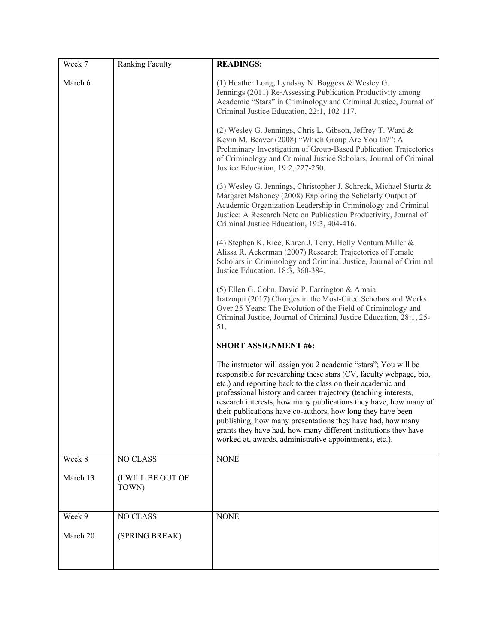| Week 7   | Ranking Faculty            | <b>READINGS:</b>                                                                                                                                                                                                                                                                                                                                                                                                                                                                                                                                                                                     |
|----------|----------------------------|------------------------------------------------------------------------------------------------------------------------------------------------------------------------------------------------------------------------------------------------------------------------------------------------------------------------------------------------------------------------------------------------------------------------------------------------------------------------------------------------------------------------------------------------------------------------------------------------------|
| March 6  |                            | (1) Heather Long, Lyndsay N. Boggess & Wesley G.<br>Jennings (2011) Re-Assessing Publication Productivity among<br>Academic "Stars" in Criminology and Criminal Justice, Journal of<br>Criminal Justice Education, 22:1, 102-117.                                                                                                                                                                                                                                                                                                                                                                    |
|          |                            | (2) Wesley G. Jennings, Chris L. Gibson, Jeffrey T. Ward &<br>Kevin M. Beaver (2008) "Which Group Are You In?": A<br>Preliminary Investigation of Group-Based Publication Trajectories<br>of Criminology and Criminal Justice Scholars, Journal of Criminal<br>Justice Education, 19:2, 227-250.                                                                                                                                                                                                                                                                                                     |
|          |                            | (3) Wesley G. Jennings, Christopher J. Schreck, Michael Sturtz &<br>Margaret Mahoney (2008) Exploring the Scholarly Output of<br>Academic Organization Leadership in Criminology and Criminal<br>Justice: A Research Note on Publication Productivity, Journal of<br>Criminal Justice Education, 19:3, 404-416.                                                                                                                                                                                                                                                                                      |
|          |                            | (4) Stephen K. Rice, Karen J. Terry, Holly Ventura Miller &<br>Alissa R. Ackerman (2007) Research Trajectories of Female<br>Scholars in Criminology and Criminal Justice, Journal of Criminal<br>Justice Education, 18:3, 360-384.                                                                                                                                                                                                                                                                                                                                                                   |
|          |                            | (5) Ellen G. Cohn, David P. Farrington & Amaia<br>Iratzoqui (2017) Changes in the Most-Cited Scholars and Works<br>Over 25 Years: The Evolution of the Field of Criminology and<br>Criminal Justice, Journal of Criminal Justice Education, 28:1, 25-<br>51.                                                                                                                                                                                                                                                                                                                                         |
|          |                            | <b>SHORT ASSIGNMENT #6:</b>                                                                                                                                                                                                                                                                                                                                                                                                                                                                                                                                                                          |
|          |                            | The instructor will assign you 2 academic "stars"; You will be<br>responsible for researching these stars (CV, faculty webpage, bio,<br>etc.) and reporting back to the class on their academic and<br>professional history and career trajectory (teaching interests,<br>research interests, how many publications they have, how many of<br>their publications have co-authors, how long they have been<br>publishing, how many presentations they have had, how many<br>grants they have had, how many different institutions they have<br>worked at, awards, administrative appointments, etc.). |
| Week 8   | NO CLASS                   | <b>NONE</b>                                                                                                                                                                                                                                                                                                                                                                                                                                                                                                                                                                                          |
| March 13 | (I WILL BE OUT OF<br>TOWN) |                                                                                                                                                                                                                                                                                                                                                                                                                                                                                                                                                                                                      |
| Week 9   | NO CLASS                   | <b>NONE</b>                                                                                                                                                                                                                                                                                                                                                                                                                                                                                                                                                                                          |
| March 20 | (SPRING BREAK)             |                                                                                                                                                                                                                                                                                                                                                                                                                                                                                                                                                                                                      |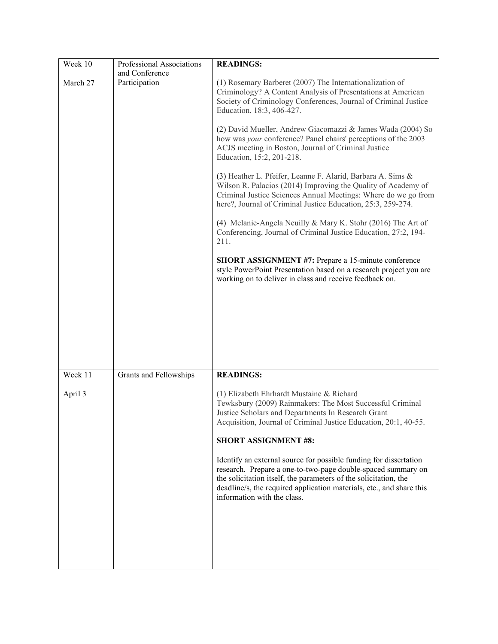| Week 10  | Professional Associations       | <b>READINGS:</b>                                                                                                                                                                                                                                                                                             |
|----------|---------------------------------|--------------------------------------------------------------------------------------------------------------------------------------------------------------------------------------------------------------------------------------------------------------------------------------------------------------|
| March 27 | and Conference<br>Participation | (1) Rosemary Barberet (2007) The Internationalization of<br>Criminology? A Content Analysis of Presentations at American<br>Society of Criminology Conferences, Journal of Criminal Justice<br>Education, 18:3, 406-427.                                                                                     |
|          |                                 | (2) David Mueller, Andrew Giacomazzi & James Wada (2004) So<br>how was your conference? Panel chairs' perceptions of the 2003<br>ACJS meeting in Boston, Journal of Criminal Justice<br>Education, 15:2, 201-218.                                                                                            |
|          |                                 | (3) Heather L. Pfeifer, Leanne F. Alarid, Barbara A. Sims &<br>Wilson R. Palacios (2014) Improving the Quality of Academy of<br>Criminal Justice Sciences Annual Meetings: Where do we go from<br>here?, Journal of Criminal Justice Education, 25:3, 259-274.                                               |
|          |                                 | (4) Melanie-Angela Neuilly & Mary K. Stohr (2016) The Art of<br>Conferencing, Journal of Criminal Justice Education, 27:2, 194-<br>211.                                                                                                                                                                      |
|          |                                 | <b>SHORT ASSIGNMENT #7: Prepare a 15-minute conference</b><br>style PowerPoint Presentation based on a research project you are<br>working on to deliver in class and receive feedback on.                                                                                                                   |
|          |                                 |                                                                                                                                                                                                                                                                                                              |
|          |                                 |                                                                                                                                                                                                                                                                                                              |
| Week 11  | Grants and Fellowships          | <b>READINGS:</b>                                                                                                                                                                                                                                                                                             |
| April 3  |                                 | (1) Elizabeth Ehrhardt Mustaine & Richard<br>Tewksbury (2009) Rainmakers: The Most Successful Criminal<br>Justice Scholars and Departments In Research Grant<br>Acquisition, Journal of Criminal Justice Education, 20:1, 40-55.<br><b>SHORT ASSIGNMENT #8:</b>                                              |
|          |                                 | Identify an external source for possible funding for dissertation<br>research. Prepare a one-to-two-page double-spaced summary on<br>the solicitation itself, the parameters of the solicitation, the<br>deadline/s, the required application materials, etc., and share this<br>information with the class. |
|          |                                 |                                                                                                                                                                                                                                                                                                              |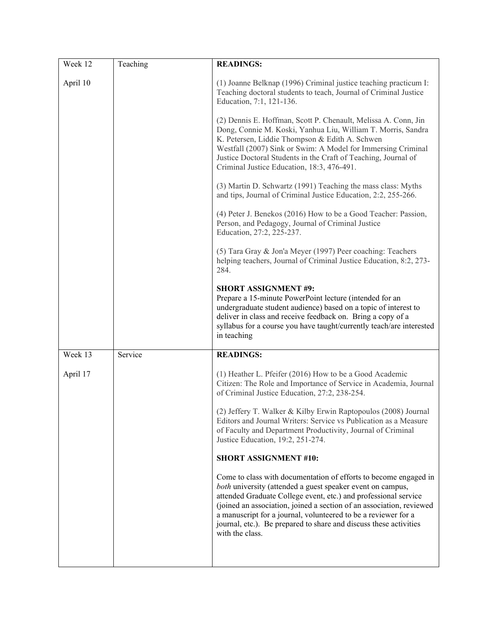| Week 12  | Teaching | <b>READINGS:</b>                                                                                                                                                                                                                                                                                                                                                                                                                    |
|----------|----------|-------------------------------------------------------------------------------------------------------------------------------------------------------------------------------------------------------------------------------------------------------------------------------------------------------------------------------------------------------------------------------------------------------------------------------------|
| April 10 |          | (1) Joanne Belknap (1996) Criminal justice teaching practicum I:<br>Teaching doctoral students to teach, Journal of Criminal Justice<br>Education, 7:1, 121-136.                                                                                                                                                                                                                                                                    |
|          |          | (2) Dennis E. Hoffman, Scott P. Chenault, Melissa A. Conn, Jin<br>Dong, Connie M. Koski, Yanhua Liu, William T. Morris, Sandra<br>K. Petersen, Liddie Thompson & Edith A. Schwen<br>Westfall (2007) Sink or Swim: A Model for Immersing Criminal<br>Justice Doctoral Students in the Craft of Teaching, Journal of<br>Criminal Justice Education, 18:3, 476-491.                                                                    |
|          |          | (3) Martin D. Schwartz (1991) Teaching the mass class: Myths<br>and tips, Journal of Criminal Justice Education, 2:2, 255-266.                                                                                                                                                                                                                                                                                                      |
|          |          | (4) Peter J. Benekos (2016) How to be a Good Teacher: Passion,<br>Person, and Pedagogy, Journal of Criminal Justice<br>Education, 27:2, 225-237.                                                                                                                                                                                                                                                                                    |
|          |          | (5) Tara Gray & Jon'a Meyer (1997) Peer coaching: Teachers<br>helping teachers, Journal of Criminal Justice Education, 8:2, 273-<br>284.                                                                                                                                                                                                                                                                                            |
|          |          | <b>SHORT ASSIGNMENT #9:</b><br>Prepare a 15-minute PowerPoint lecture (intended for an<br>undergraduate student audience) based on a topic of interest to<br>deliver in class and receive feedback on. Bring a copy of a<br>syllabus for a course you have taught/currently teach/are interested<br>in teaching                                                                                                                     |
| Week 13  | Service  | <b>READINGS:</b>                                                                                                                                                                                                                                                                                                                                                                                                                    |
| April 17 |          | (1) Heather L. Pfeifer (2016) How to be a Good Academic<br>Citizen: The Role and Importance of Service in Academia, Journal<br>of Criminal Justice Education, 27:2, 238-254.                                                                                                                                                                                                                                                        |
|          |          | (2) Jeffery T. Walker & Kilby Erwin Raptopoulos (2008) Journal<br>Editors and Journal Writers: Service vs Publication as a Measure<br>of Faculty and Department Productivity, Journal of Criminal<br>Justice Education, 19:2, 251-274.                                                                                                                                                                                              |
|          |          | <b>SHORT ASSIGNMENT #10:</b>                                                                                                                                                                                                                                                                                                                                                                                                        |
|          |          | Come to class with documentation of efforts to become engaged in<br>both university (attended a guest speaker event on campus,<br>attended Graduate College event, etc.) and professional service<br>(joined an association, joined a section of an association, reviewed<br>a manuscript for a journal, volunteered to be a reviewer for a<br>journal, etc.). Be prepared to share and discuss these activities<br>with the class. |
|          |          |                                                                                                                                                                                                                                                                                                                                                                                                                                     |